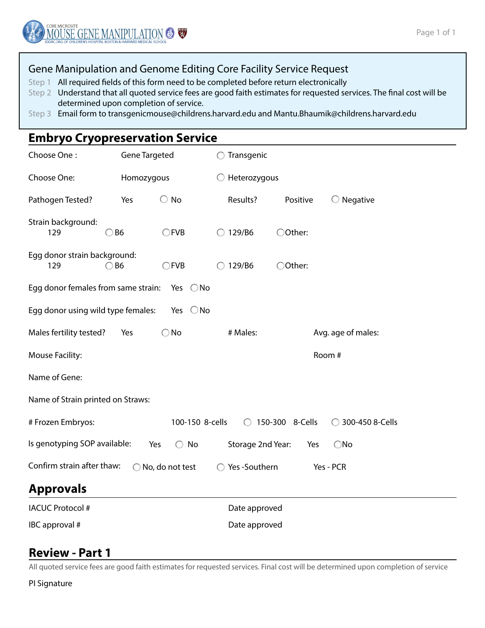### Gene Manipulation and Genome Editing Core Facility Service Request

Step 1 All required fields of this form need to be completed before return electronically

- Step 2 Understand that all quoted service fees are good faith estimates for requested services. The final cost will be determined upon completion of service.
- Step 3 Email form to transgenicmouse@childrens.harvard.edu and Mantu.Bhaumik@childrens.harvard.edu

# **Embryo Cryopreservation Service**

| Choose One:                                                                                                                               | <b>Gene Targeted</b> |               | $\bigcirc$ Transgenic   |          |                     |  |  |  |  |  |
|-------------------------------------------------------------------------------------------------------------------------------------------|----------------------|---------------|-------------------------|----------|---------------------|--|--|--|--|--|
| Choose One:                                                                                                                               | Homozygous           |               | $\bigcirc$ Heterozygous |          |                     |  |  |  |  |  |
| Pathogen Tested?                                                                                                                          | Yes                  | $\bigcirc$ No | Results?                | Positive | $\bigcirc$ Negative |  |  |  |  |  |
| Strain background:<br>129                                                                                                                 | B <sub>6</sub>       | CFVB          | 129/B6<br>◯             | ○Other:  |                     |  |  |  |  |  |
| Egg donor strain background:<br>129                                                                                                       | B <sub>6</sub>       | CFVB          | 129/B6                  | ○Other:  |                     |  |  |  |  |  |
| Egg donor females from same strain:<br>Yes $\bigcirc$ No                                                                                  |                      |               |                         |          |                     |  |  |  |  |  |
| Egg donor using wild type females:<br>Yes $\bigcirc$ No                                                                                   |                      |               |                         |          |                     |  |  |  |  |  |
| Males fertility tested?                                                                                                                   | Yes                  | $\bigcirc$ No | # Males:                |          | Avg. age of males:  |  |  |  |  |  |
| Mouse Facility:                                                                                                                           |                      | Room #        |                         |          |                     |  |  |  |  |  |
| Name of Gene:                                                                                                                             |                      |               |                         |          |                     |  |  |  |  |  |
| Name of Strain printed on Straws:                                                                                                         |                      |               |                         |          |                     |  |  |  |  |  |
| 100-150 8-cells<br># Frozen Embryos:<br>150-300 8-Cells<br>300-450 8-Cells<br>$\bigcirc$<br>$\left( \begin{array}{c} \end{array} \right)$ |                      |               |                         |          |                     |  |  |  |  |  |
| Is genotyping SOP available:<br>$\bigcirc$ No<br>Storage 2nd Year:<br>Yes<br>$\bigcirc$ No<br>Yes                                         |                      |               |                         |          |                     |  |  |  |  |  |
| Confirm strain after thaw:<br>Yes-Southern<br>No, do not test<br>Yes - PCR<br>$\bigcap$                                                   |                      |               |                         |          |                     |  |  |  |  |  |
| <b>Approvals</b>                                                                                                                          |                      |               |                         |          |                     |  |  |  |  |  |
| <b>IACUC Protocol #</b>                                                                                                                   |                      |               | Date approved           |          |                     |  |  |  |  |  |
| IBC approval #                                                                                                                            |                      |               | Date approved           |          |                     |  |  |  |  |  |

### **Review - Part 1**

All quoted service fees are good faith estimates for requested services. Final cost will be determined upon completion of service

PI Signature